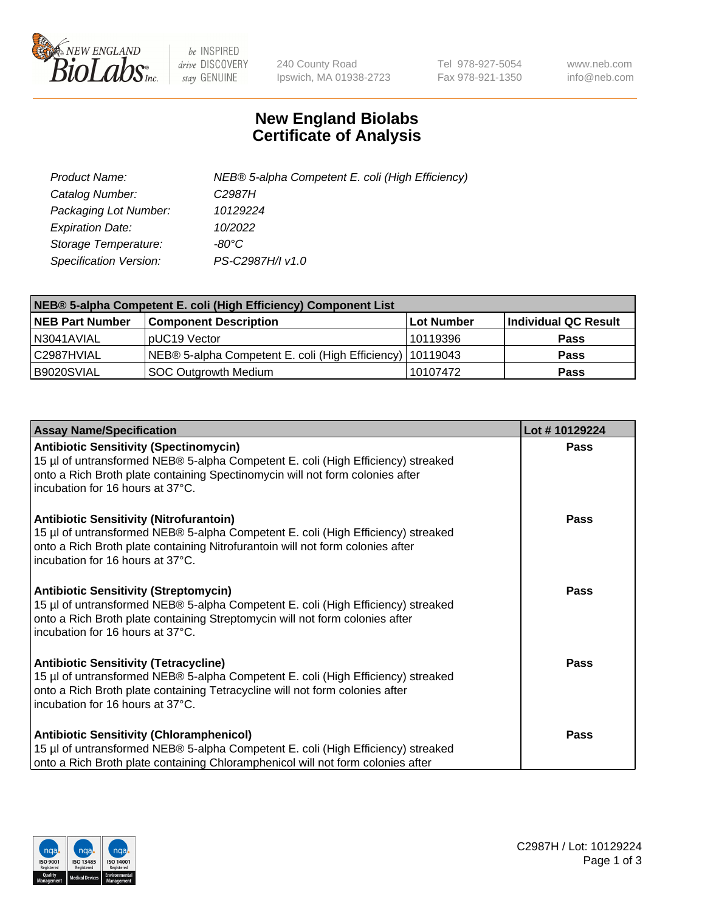

 $be$  INSPIRED drive DISCOVERY stay GENUINE

240 County Road Ipswich, MA 01938-2723 Tel 978-927-5054 Fax 978-921-1350 www.neb.com info@neb.com

## **New England Biolabs Certificate of Analysis**

| Product Name:           | NEB® 5-alpha Competent E. coli (High Efficiency) |
|-------------------------|--------------------------------------------------|
| Catalog Number:         | C <sub>2987</sub> H                              |
| Packaging Lot Number:   | 10129224                                         |
| <b>Expiration Date:</b> | 10/2022                                          |
| Storage Temperature:    | -80°C                                            |
| Specification Version:  | PS-C2987H/I v1.0                                 |

| NEB® 5-alpha Competent E. coli (High Efficiency) Component List |                                                             |            |                      |  |
|-----------------------------------------------------------------|-------------------------------------------------------------|------------|----------------------|--|
| <b>NEB Part Number</b>                                          | <b>Component Description</b>                                | Lot Number | Individual QC Result |  |
| N3041AVIAL                                                      | pUC19 Vector                                                | 10119396   | <b>Pass</b>          |  |
| C2987HVIAL                                                      | NEB® 5-alpha Competent E. coli (High Efficiency)   10119043 |            | <b>Pass</b>          |  |
| B9020SVIAL                                                      | SOC Outgrowth Medium                                        | 10107472   | <b>Pass</b>          |  |

| <b>Assay Name/Specification</b>                                                                                                                                                                                                                          | Lot #10129224 |
|----------------------------------------------------------------------------------------------------------------------------------------------------------------------------------------------------------------------------------------------------------|---------------|
| <b>Antibiotic Sensitivity (Spectinomycin)</b><br>15 µl of untransformed NEB® 5-alpha Competent E. coli (High Efficiency) streaked<br>onto a Rich Broth plate containing Spectinomycin will not form colonies after<br>incubation for 16 hours at 37°C.   | Pass          |
| <b>Antibiotic Sensitivity (Nitrofurantoin)</b><br>15 µl of untransformed NEB® 5-alpha Competent E. coli (High Efficiency) streaked<br>onto a Rich Broth plate containing Nitrofurantoin will not form colonies after<br>incubation for 16 hours at 37°C. | Pass          |
| <b>Antibiotic Sensitivity (Streptomycin)</b><br>15 µl of untransformed NEB® 5-alpha Competent E. coli (High Efficiency) streaked<br>onto a Rich Broth plate containing Streptomycin will not form colonies after<br>Incubation for 16 hours at 37°C.     | <b>Pass</b>   |
| <b>Antibiotic Sensitivity (Tetracycline)</b><br>15 µl of untransformed NEB® 5-alpha Competent E. coli (High Efficiency) streaked<br>onto a Rich Broth plate containing Tetracycline will not form colonies after<br>incubation for 16 hours at 37°C.     | <b>Pass</b>   |
| <b>Antibiotic Sensitivity (Chloramphenicol)</b><br>15 µl of untransformed NEB® 5-alpha Competent E. coli (High Efficiency) streaked<br>onto a Rich Broth plate containing Chloramphenicol will not form colonies after                                   | Pass          |

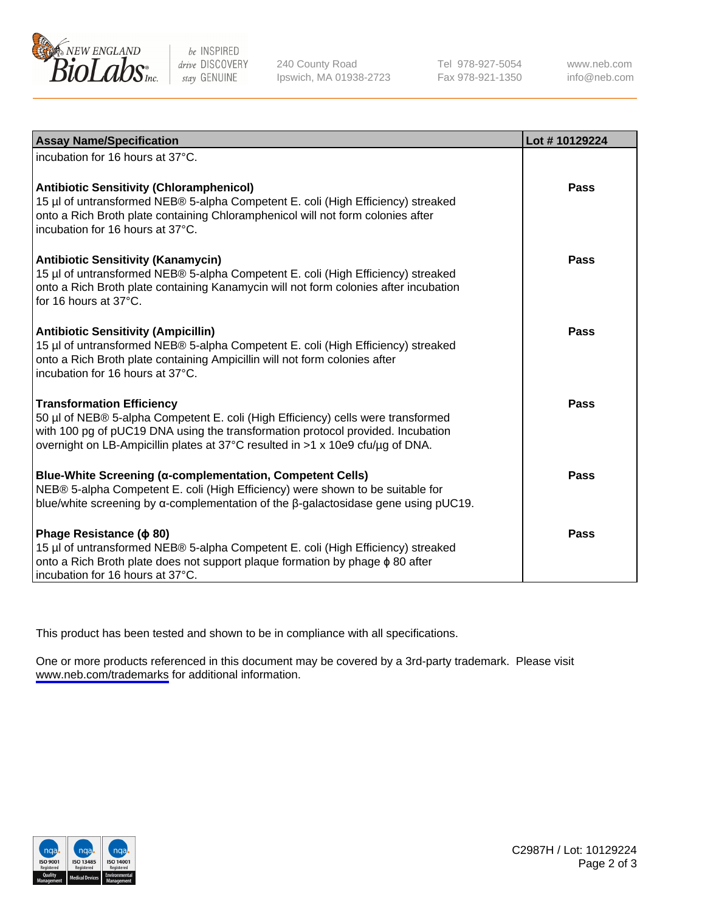

be INSPIRED drive DISCOVERY stay GENUINE

240 County Road Ipswich, MA 01938-2723 Tel 978-927-5054 Fax 978-921-1350

www.neb.com info@neb.com

| <b>Assay Name/Specification</b>                                                                                                                                                                                                                                                           | Lot #10129224 |
|-------------------------------------------------------------------------------------------------------------------------------------------------------------------------------------------------------------------------------------------------------------------------------------------|---------------|
| incubation for 16 hours at 37°C.                                                                                                                                                                                                                                                          |               |
| <b>Antibiotic Sensitivity (Chloramphenicol)</b><br>15 µl of untransformed NEB® 5-alpha Competent E. coli (High Efficiency) streaked<br>onto a Rich Broth plate containing Chloramphenicol will not form colonies after<br>incubation for 16 hours at 37°C.                                | Pass          |
| <b>Antibiotic Sensitivity (Kanamycin)</b><br>15 µl of untransformed NEB® 5-alpha Competent E. coli (High Efficiency) streaked<br>onto a Rich Broth plate containing Kanamycin will not form colonies after incubation<br>for 16 hours at 37°C.                                            | Pass          |
| <b>Antibiotic Sensitivity (Ampicillin)</b><br>15 µl of untransformed NEB® 5-alpha Competent E. coli (High Efficiency) streaked<br>onto a Rich Broth plate containing Ampicillin will not form colonies after<br>incubation for 16 hours at 37°C.                                          | Pass          |
| <b>Transformation Efficiency</b><br>50 µl of NEB® 5-alpha Competent E. coli (High Efficiency) cells were transformed<br>with 100 pg of pUC19 DNA using the transformation protocol provided. Incubation<br>overnight on LB-Ampicillin plates at 37°C resulted in >1 x 10e9 cfu/ug of DNA. | Pass          |
| <b>Blue-White Screening (α-complementation, Competent Cells)</b><br>NEB® 5-alpha Competent E. coli (High Efficiency) were shown to be suitable for<br>blue/white screening by $\alpha$ -complementation of the $\beta$ -galactosidase gene using pUC19.                                   | Pass          |
| Phage Resistance ( $\phi$ 80)<br>15 µl of untransformed NEB® 5-alpha Competent E. coli (High Efficiency) streaked<br>onto a Rich Broth plate does not support plaque formation by phage $\phi$ 80 after<br>incubation for 16 hours at 37°C.                                               | Pass          |

This product has been tested and shown to be in compliance with all specifications.

One or more products referenced in this document may be covered by a 3rd-party trademark. Please visit <www.neb.com/trademarks>for additional information.